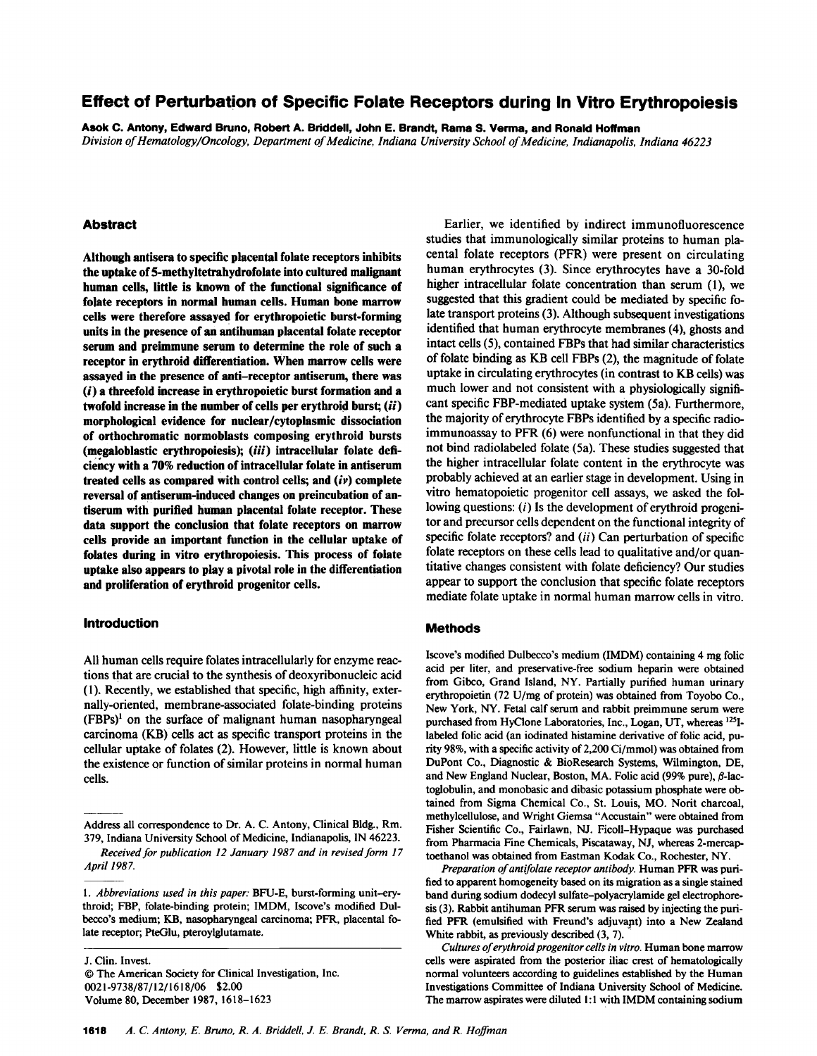# Effect of Perturbation of Specific Folate Receptors during In Vitro Erythropoiesis

Asok C. Antony, Edward Bruno, Robert A. Briddell, John E. Brandt, Rama S. Verma, and Ronald Hoffman Division of Hematology/Oncology, Department of Medicine, Indiana University School of Medicine, Indianapolis, Indiana 46223

#### Abstract

Although antisera to specific placental folate receptors inhibits the uptake of 5-methyltetrahydrofolate into cultured malignant human cells, little is known of the functional significance of folate receptors in normal human cells. Human bone marrow cells were therefore assayed for erythropoietic burst-forming units in the presence of an antihuman placental folate receptor serum and preimmune serum to determine the role of such a receptor in erythroid differentiation. When marrow cells were assayed in the presence of anti-receptor antiserum, there was (i) a threefold increase in erythropoietic burst formation and a twofold increase in the number of cells per erythroid burst;  $(ii)$ morphological evidence for nuclear/cytoplasmic dissociation of orthochromatic normoblasts composing erythroid bursts (megaloblastic erythropoiesis); (iii) intracellular folate deficiency with a 70% reduction of intracellular folate in antiserum treated cells as compared with control cells; and  $(iv)$  complete reversal of antiserum-induced changes on preincubation of antiserum with purified human placental folate receptor. These data support the conclusion that folate receptors on marrow cells provide an important function in the cellular uptake of folates during in vitro erythropoiesis. This process of folate uptake also appears to play a pivotal role in the differentiation and proliferation of erythroid progenitor cells.

# Introduction

All human cells require folates intracellularly for enzyme reactions that are crucial to the synthesis of deoxyribonucleic acid (1). Recently, we established that specific, high affinity, externally-oriented, membrane-associated folate-binding proteins (FBPs)' on the surface of malignant human nasopharyngeal carcinoma (KB) cells act as specific transport proteins in the cellular uptake of folates (2). However, little is known about the existence or function of similar proteins in normal human cells.

J. Clin. Invest. © The American Society for Clinical Investigation, Inc. 0021-9738/87/12/1618/06 \$2.00 Volume 80, December 1987, 1618-1623

Earlier, we identified by indirect immunofluorescence studies that immunologically similar proteins to human placental folate receptors (PFR) were present on circulating human erythrocytes (3). Since erythrocytes have a 30-fold higher intracellular folate concentration than serum (1), we suggested that this gradient could be mediated by specific folate transport proteins (3). Although subsequent investigations identified that human erythrocyte membranes (4), ghosts and intact cells (5), contained FBPs that had similar characteristics of folate binding as KB cell FBPs (2), the magnitude of folate uptake in circulating erythrocytes (in contrast to KB cells) was much lower and not consistent with a physiologically significant specific FBP-mediated uptake system (5a). Furthermore, the majority of erythrocyte FBPs identified by a specific radioimmunoassay to PFR (6) were nonfunctional in that they did not bind radiolabeled folate (5a). These studies suggested that the higher intracellular folate content in the erythrocyte was probably achieved at an earlier stage in development. Using in vitro hematopoietic progenitor cell assays, we asked the following questions:  $(i)$  Is the development of erythroid progenitor and precursor cells dependent on the functional integrity of specific folate receptors? and (*ii*) Can perturbation of specific folate receptors on these cells lead to qualitative and/or quantitative changes consistent with folate deficiency? Our studies appear to support the conclusion that specific folate receptors mediate folate uptake in normal human marrow cells in vitro.

#### Methods

Iscove's modified Dulbecco's medium (IMDM) containing 4 mg folic acid per liter, and preservative-free sodium heparin were obtained from Gibco, Grand Island, NY. Partially purified human urinary erythropoietin (72 U/mg of protein) was obtained from Toyobo Co., New York, NY. Fetal calf serum and rabbit preimmune serum were purchased from HyClone Laboratories, Inc., Logan, UT, whereas <sup>125</sup>Ilabeled folic acid (an iodinated histamine derivative of folic acid, purity 98%, with a specific activity of 2,200 Ci/mmol) was obtained from DuPont Co., Diagnostic & BioResearch Systems, Wilmington, DE, and New England Nuclear, Boston, MA. Folic acid (99% pure),  $\beta$ -lactoglobulin, and monobasic and dibasic potassium phosphate were obtained from Sigma Chemical Co., St. Louis, MO. Norit charcoal, methylcellulose, and Wright Giemsa "Accustain" were obtained from Fisher Scientific Co., Fairlawn, NJ. Ficoll-Hypaque was purchased from Pharmacia Fine Chemicals, Piscataway, NJ, whereas 2-mercaptoethanol was obtained from Eastman Kodak Co., Rochester, NY.

Preparation of antifolate receptor antibody. Human PFR was purified to apparent homogeneity based on its migration as a single stained band during sodium dodecyl sulfate-polyacrylamide gel electrophoresis (3). Rabbit antihuman PFR serum was raised by injecting the purified PFR (emulsified with Freund's adjuvant) into a New Zealand White rabbit, as previously described (3, 7).

Cultures of erythroid progenitor cells in vitro. Human bone marrow cells were aspirated from the posterior iliac crest of hematologically normal volunteers according to guidelines established by the Human Investigations Committee of Indiana University School of Medicine. The marrow aspirates were diluted 1:1 with IMDM containing sodium

Address all correspondence to Dr. A. C. Antony, Clinical Bldg., Rm. 379, Indiana University School of Medicine, Indianapolis, IN 46223.

Received for publication 12 January 1987 and in revised form 17 April 1987.

<sup>1.</sup> Abbreviations used in this paper: BFU-E, burst-forming unit-erythroid; FBP, folate-binding protein; IMDM, Iscove's modified Dulbecco's medium; KB, nasopharyngeal carcinoma; PFR, placental folate receptor; PteGlu, pteroylglutamate.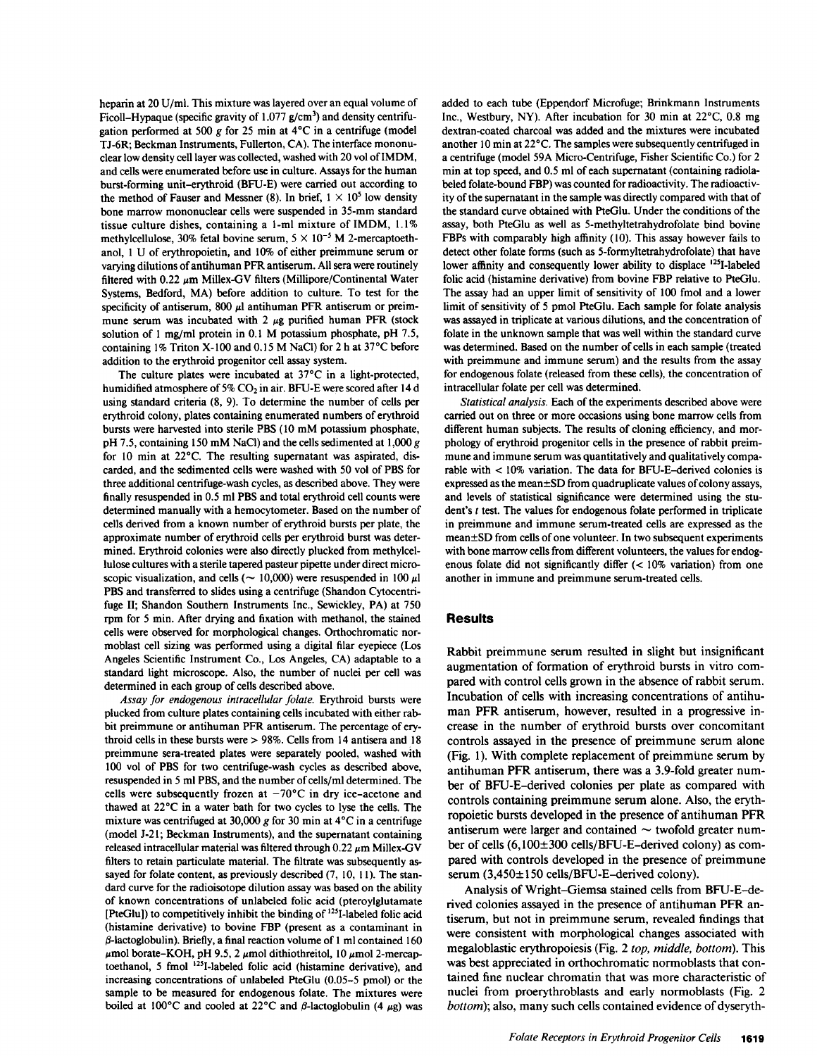heparin at 20 U/ml. This mixture was layered over an equal volume of Ficoll-Hypaque (specific gravity of  $1.077$  g/cm<sup>3</sup>) and density centrifugation performed at 500 g for 25 min at  $4^{\circ}$ C in a centrifuge (model TJ-6R; Beckman Instruments, Fullerton, CA). The interface mononuclear low density cell layer was collected, washed with 20 vol of IMDM, and cells were enumerated before use in culture. Assays for the human burst-forming unit-erythroid (BFU-E) were carried out according to the method of Fauser and Messner (8). In brief,  $1 \times 10^5$  low density bone marrow mononuclear cells were suspended in 35-mm standard tissue culture dishes, containing a 1-ml mixture of IMDM, 1.1% methylcellulose, 30% fetal bovine serum,  $5 \times 10^{-5}$  M 2-mercaptoethanol, <sup>1</sup> U of erythropoietin, and 10% of either preimmune serum or varying dilutions of antihuman PFR antiserum. All sera were routinely filtered with 0.22  $\mu$ m Millex-GV filters (Millipore/Continental Water Systems, Bedford, MA) before addition to culture. To test for the specificity of antiserum, 800  $\mu$ l antihuman PFR antiserum or preimmune serum was incubated with 2  $\mu$ g purified human PFR (stock solution of <sup>I</sup> mg/ml protein in 0.1 M potassium phosphate, pH 7.5, containing 1% Triton X-100 and 0.15 M NaCl) for 2 h at  $37^{\circ}$ C before addition to the erythroid progenitor cell assay system.

The culture plates were incubated at  $37^{\circ}$ C in a light-protected, humidified atmosphere of 5%  $CO<sub>2</sub>$  in air. BFU-E were scored after 14 d using standard criteria (8, 9). To determine the number of cells per erythroid colony, plates containing enumerated numbers of erythroid bursts were harvested into sterile PBS (10 mM potassium phosphate, pH 7.5, containing <sup>150</sup> mM NaCl) and the cells sedimented at 1,000 <sup>g</sup> for 10 min at 22°C. The resulting supernatant was aspirated, discarded, and the sedimented cells were washed with 50 vol of PBS for three additional centrifuge-wash cycles, as described above. They were finally resuspended in 0.5 ml PBS and total erythroid cell counts were determined manually with a hemocytometer. Based on the number of cells derived from a known number of erythroid bursts per plate, the approximate number of erythroid cells per erythroid burst was determined. Erythroid colonies were also directly plucked from methylcellulose cultures with a sterile tapered pasteur pipette under direct microscopic visualization, and cells ( $\sim 10,000$ ) were resuspended in 100  $\mu$ l PBS and transferred to slides using a centrifuge (Shandon Cytocentrifuge II; Shandon Southern Instruments Inc., Sewickley, PA) at 750 rpm for 5 min. After drying and fixation with methanol, the stained cells were observed for morphological changes. Orthochromatic normoblast cell sizing was performed using a digital filar eyepiece (Los Angeles Scientific Instrument Co., Los Angeles, CA) adaptable to a standard light microscope. Also, the number of nuclei per cell was determined in each group of cells described above.

Assay for endogenous intracellular folate. Erythroid bursts were plucked from culture plates containing cells incubated with either rabbit preimmune or antihuman PFR antiserum. The percentage of erythroid cells in these bursts were > 98%. Cells from <sup>14</sup> antisera and <sup>18</sup> preimmune sera-treated plates were separately pooled, washed with 100 vol of PBS for two centrifuge-wash cycles as described above, resuspended in 5 ml PBS, and the number of cells/ml determined. The cells were subsequently frozen at  $-70^{\circ}$ C in dry ice-acetone and thawed at 22°C in a water bath for two cycles to lyse the cells. The mixture was centrifuged at 30,000 g for 30 min at 4°C in a centrifuge (model J-2 1; Beckman Instruments), and the supernatant containing released intracellular material was filtered through  $0.22 \mu m$  Millex-GV filters to retain particulate material. The filtrate was subsequently assayed for folate content, as previously described (7, 10, 11). The standard curve for the radioisotope dilution assay was based on the ability of known concentrations of unlabeled folic acid (pteroylglutamate [PteGlu]) to competitively inhibit the binding of '25I-labeled folic acid (histamine derivative) to bovine FBP (present as a contaminant in  $\beta$ -lactoglobulin). Briefly, a final reaction volume of 1 ml contained 160  $\mu$ mol borate-KOH, pH 9.5, 2  $\mu$ mol dithiothreitol, 10  $\mu$ mol 2-mercaptoethanol, <sup>5</sup> fmol '25I-labeled folic acid (histamine derivative), and increasing concentrations of unlabeled PteGlu (0.05-5 pmol) or the sample to be measured for endogenous folate. The mixtures were boiled at 100°C and cooled at 22°C and  $\beta$ -lactoglobulin (4  $\mu$ g) was added to each tube (Eppendorf Microfuge; Brinkmann Instruments Inc., Westbury, NY). After incubation for 30 min at  $22^{\circ}$ C, 0.8 mg dextran-coated charcoal was added and the mixtures were incubated another 10 min at 22°C. The samples were subsequently centrifuged in a centrifuge (model 59A Micro-Centrifuge, Fisher Scientific Co.) for 2 min at top speed, and 0.5 ml of each supernatant (containing radiolabeled folate-bound FBP) was counted for radioactivity. The radioactivity of the supernatant in the sample was directly compared with that of the standard curve obtained with PteGlu. Under the conditions of the assay, both PteGlu as well as 5-methyltetrahydrofolate bind bovine FBPs with comparably high affinity (10). This assay however fails to detect other folate forms (such as 5-formyltetrahydrofolate) that have lower affinity and consequently lower ability to displace <sup>125</sup>I-labeled folic acid (histamine derivative) from bovine FBP relative to PteGlu. The assay had an upper limit of sensitivity of 100 fmol and a lower limit of sensitivity of 5 pmol PteGlu. Each sample for folate analysis was assayed in triplicate at various dilutions, and the concentration of folate in the unknown sample that was well within the standard curve was determined. Based on the number of cells in each sample (treated with preimmune and immune serum) and the results from the assay for endogenous folate (released from these cells), the concentration of intracellular folate per cell was determined.

Statistical analysis. Each of the experiments described above were carried out on three or more occasions using bone marrow cells from different human subjects. The results of cloning efficiency, and morphology of erythroid progenitor cells in the presence of rabbit preimmune and immune serum was quantitatively and qualitatively comparable with < 10% variation. The data for BFU-E-derived colonies is expressed as the mean $\pm$ SD from quadruplicate values of colony assays, and levels of statistical significance were determined using the student's <sup>t</sup> test. The values for endogenous folate performed in triplicate in preimmune and immune serum-treated cells are expressed as the mean±SD from cells of one volunteer. In two subsequent experiments with bone marrow cells from different volunteers, the values for endogenous folate did not significantly differ (< 10% variation) from one another in immune and preimmune serum-treated cells.

### Results

Rabbit preimmune serum resulted in slight but insignificant augmentation of formation of erythroid bursts in vitro compared with control cells grown in the absence of rabbit serum. Incubation of cells with increasing concentrations of antihuman PFR antiserum, however, resulted in a progressive increase in the number of erythroid bursts over concomitant controls assayed in the presence of preimmune serum alone (Fig. 1). With complete replacement of preimmune serum by antihuman PFR antiserum, there was a 3.9-fold greater number of BFU-E-derived colonies per plate as compared with controls containing preimmune serum alone. Also, the erythropoietic bursts developed in the presence of antihuman PFR antiserum were larger and contained  $\sim$  twofold greater number of cells (6,100±300 cells/BFU-E-derived colony) as compared with controls developed in the presence of preimmune serum (3,450±150 cells/BFU-E-derived colony).

Analysis of Wright-Giemsa stained cells from BFU-E-derived colonies assayed in the presence of antihuman PFR antiserum, but not in preimmune serum, revealed findings that were consistent with morphological changes associated with megaloblastic erythropoiesis (Fig. 2 top, middle, bottom). This was best appreciated in orthochromatic normoblasts that contained fine nuclear chromatin that was more characteristic of nuclei from proerythroblasts and early normoblasts (Fig. 2 bottom); also, many such cells contained evidence of dyseryth-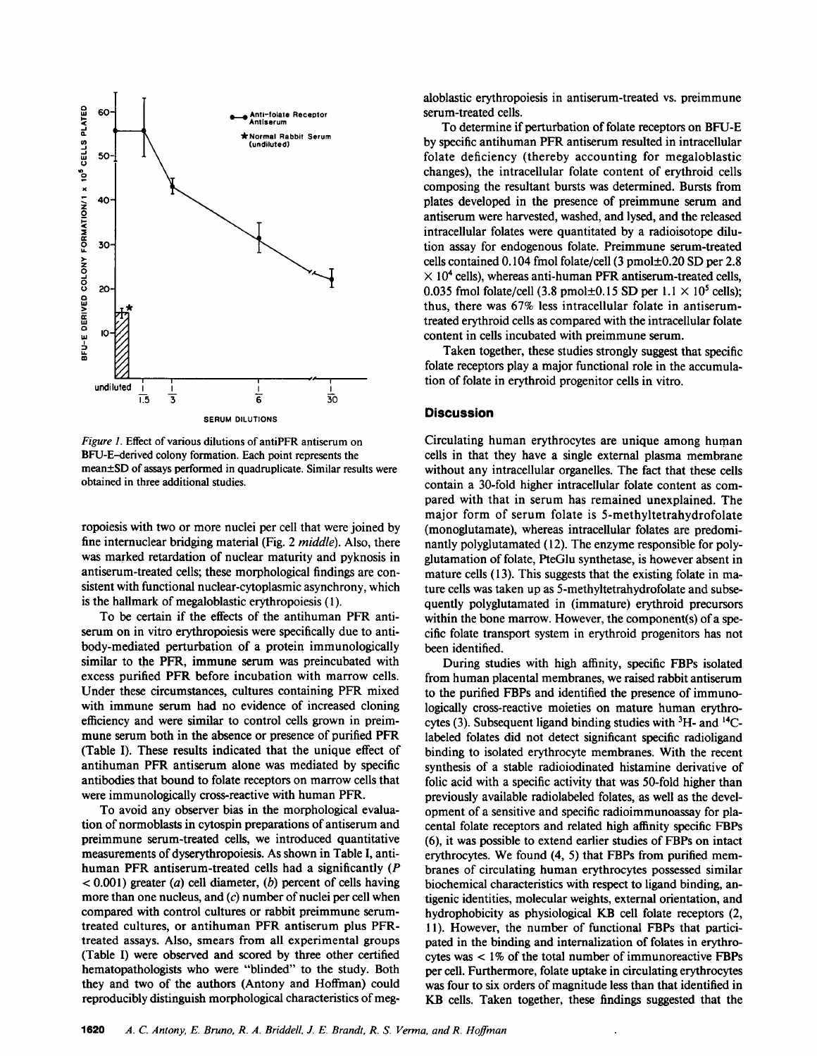

Figure 1. Effect of various dilutions of antiPFR antiserum on BFU-E-derived colony formation. Each point represents the mean±SD of assays performed in quadruplicate. Similar results were obtained in three additional studies.

ropoiesis with two or more nuclei per cell that were joined by fine internuclear bridging material (Fig. 2 middle). Also, there was marked retardation of nuclear maturity and pyknosis in antiserum-treated cells; these morphological findings are consistent with functional nuclear-cytoplasmic asynchrony, which is the hallmark of megaloblastic erythropoiesis (1).

To be certain if the effects of the antihuman PFR antiserum on in vitro erythropoiesis were specifically due to antibody-mediated perturbation of a protein immunologically similar to the PFR, immune serum was preincubated with excess purified PFR before incubation with marrow cells. Under these circumstances, cultures containing PFR mixed with immune serum had no evidence of increased cloning efficiency and were similar to control cells grown in preimmune serum both in the absence or presence of purified PFR (Table I). These results indicated that the unique effect of antihuman PFR antiserum alone was mediated by specific antibodies that bound to folate receptors on marrow cells that were immunologically cross-reactive with human PFR.

To avoid any observer bias in the morphological evaluation of normoblasts in cytospin preparations of antiserum and preimmune serum-treated cells, we introduced quantitative measurements of dyserythropoiesis. As shown in Table I, antihuman PFR antiserum-treated cells had <sup>a</sup> significantly (P  $< 0.001$ ) greater (*a*) cell diameter, (*b*) percent of cells having more than one nucleus, and  $(c)$  number of nuclei per cell when compared with control cultures or rabbit preimmune serumtreated cultures, or antihuman PFR antiserum plus PFRtreated assays. Also, smears from all experimental groups (Table I) were observed and scored by three other certified hematopathologists who were "blinded" to the study. Both they and two of the authors (Antony and Hoffman) could reproducibly distinguish morphological characteristics of megaloblastic erythropoiesis in antiserum-treated vs. preimmune serum-treated cells.

To determine if perturbation of folate receptors on BFU-E by specific antihuman PFR antiserum resulted in intracellular folate deficiency (thereby accounting for megaloblastic changes), the intracellular folate content of erythroid cells composing the resultant bursts was determined. Bursts from plates developed in the presence of preimmune serum and antiserum were harvested, washed, and lysed, and the released intracellular folates were quantitated by a radioisotope dilution assay for endogenous folate. Preimmune serum-treated cells contained 0.104 fmol folate/cell (3 pmol±0.20 SD per 2.8  $\times$  10<sup>4</sup> cells), whereas anti-human PFR antiserum-treated cells, 0.035 fmol folate/cell (3.8 pmol $\pm$ 0.15 SD per 1.1  $\times$  10<sup>5</sup> cells); thus, there was 67% less intracellular folate in antiserumtreated erythroid cells as compared with the intracellular folate content in cells incubated with preimmune serum.

Taken together, these studies strongly suggest that specific folate receptors play a major functional role in the accumulation of folate in erythroid progenitor cells in vitro.

# **Discussion**

Circulating human erythrocytes are unique among human cells in that they have a single external plasma membrane without any intracellular organelles. The fact that these cells contain a 30-fold higher intracellular folate content as compared with that in serum has remained unexplained. The major form of serum folate is 5-methyltetrahydrofolate (monoglutamate), whereas intracellular folates are predominantly polyglutamated (12). The enzyme responsible for polyglutamation of folate, PteGlu synthetase, is however absent in mature cells (13). This suggests that the existing folate in mature cells was taken up as 5-methyltetrahydrofolate and subsequently polyglutamated in (immature) erythroid precursors within the bone marrow. However, the component(s) of a specific folate transport system in erythroid progenitors has not been identified.

During studies with high affinity, specific FBPs isolated from human placental membranes, we raised rabbit antiserum to the purified FBPs and identified the presence of immunologically cross-reactive moieties on mature human erythrocytes (3). Subsequent ligand binding studies with  ${}^{3}H$ - and  ${}^{14}C$ labeled folates did not detect significant specific radioligand binding to isolated erythrocyte membranes. With the recent synthesis of a stable radioiodinated histamine derivative of folic acid with a specific activity that was 50-fold higher than previously available radiolabeled folates, as well as the development of a sensitive and specific radioimmunoassay for placental folate receptors and related high affinity specific FBPs (6), it was possible to extend earlier studies of FBPs on intact erythrocytes. We found (4, 5) that FBPs from purified membranes of circulating human erythrocytes possessed similar biochemical characteristics with respect to ligand binding, antigenic identities, molecular weights, external orientation, and hydrophobicity as physiological KB cell folate receptors (2, 11). However, the number of functional FBPs that participated in the binding and internalization of folates in erythrocytes was < 1% of the total number of immunoreactive FBPs per cell. Furthermore, folate uptake in circulating erythrocytes was four to six orders of magnitude less than that identified in KB cells. Taken together, these findings suggested that the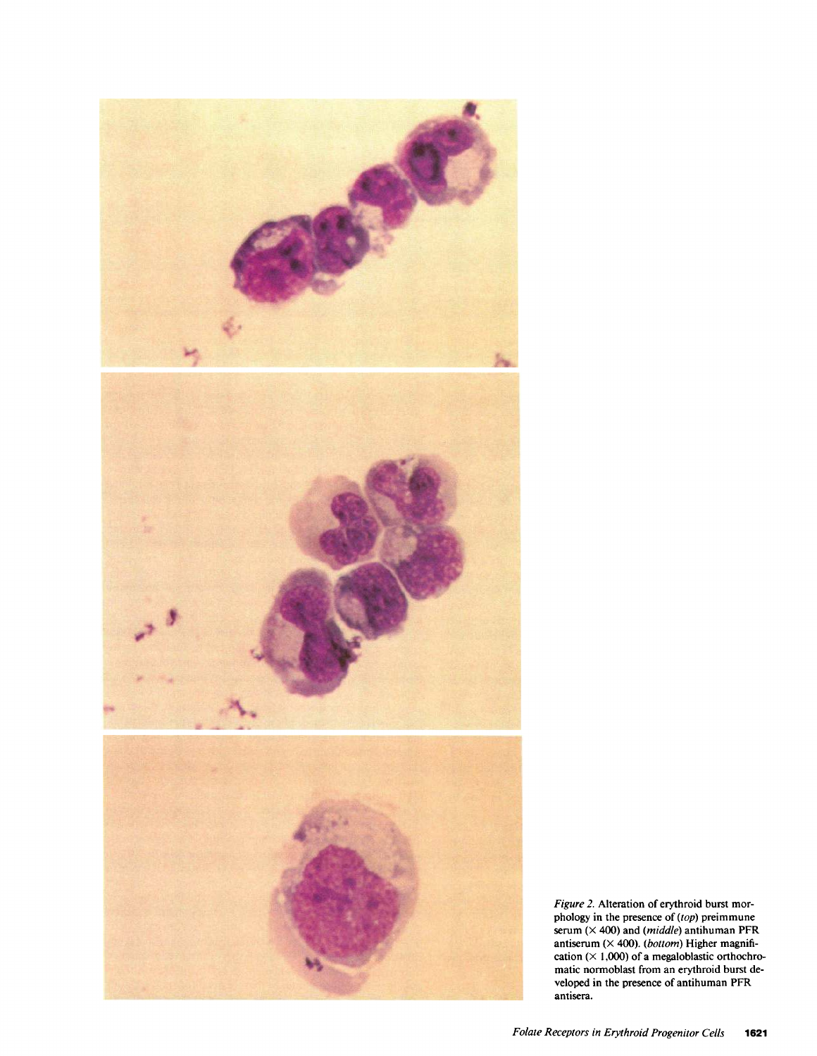

Figure 2. Alteration of erythroid burst morphology in the presence of (top) preimmune serum  $(\times 400)$  and (*middle*) antihuman PFR antiserum  $(X 400)$ . (bottom) Higher magnification  $(\times 1,000)$  of a megaloblastic orthochromatic normoblast from an erythroid burst developed in the presence of antihuman PFR antisera.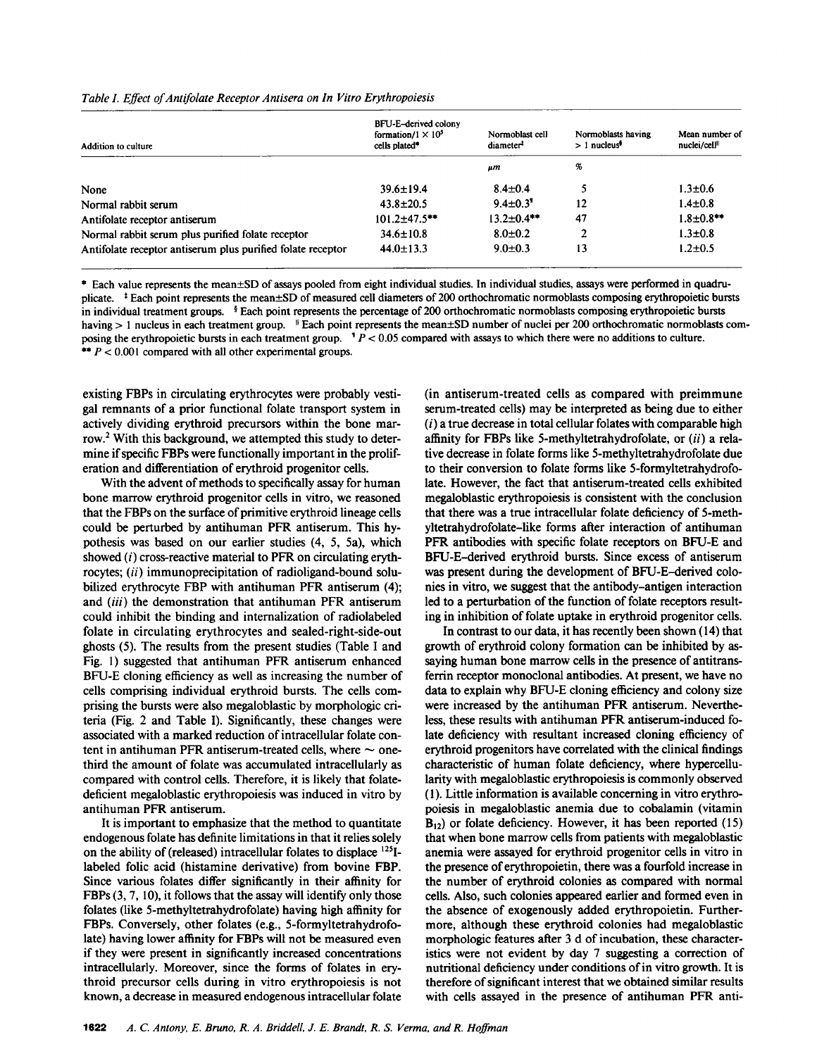Table I. Effect of Antifolate Receptor Antisera on In Vitro Erythropoiesis

| Addition to culture                                         | BFU-E-derived colony<br>formation/ $1 \times 10^5$<br>cells plated* | Normoblast cell<br>diameter <sup>#</sup> | Normoblasts having<br>$>1$ nucleus <sup><math>\bullet</math></sup> | Mean number of<br>nuclei/cell <sup>  </sup> |
|-------------------------------------------------------------|---------------------------------------------------------------------|------------------------------------------|--------------------------------------------------------------------|---------------------------------------------|
|                                                             |                                                                     | μm                                       | %                                                                  |                                             |
| None                                                        | $39.6 \pm 19.4$                                                     | $8.4 \pm 0.4$                            |                                                                    | $1.3 \pm 0.6$                               |
| Normal rabbit serum                                         | $43.8 \pm 20.5$                                                     | $9.4 \pm 0.3$ <sup>1</sup>               | 12                                                                 | $1.4 \pm 0.8$                               |
| Antifolate receptor antiserum                               | $101.2 \pm 47.5$ **                                                 | $13.2 \pm 0.4$ **                        | 47                                                                 | $1.8 \pm 0.8$ **                            |
| Normal rabbit serum plus purified folate receptor           | $34.6 \pm 10.8$                                                     | $8.0 \pm 0.2$                            | າ                                                                  | $1.3 \pm 0.8$                               |
| Antifolate receptor antiserum plus purified folate receptor | $44.0 \pm 13.3$                                                     | $9.0 \pm 0.3$                            | 13                                                                 | $1.2 \pm 0.5$                               |

\* Each value represents the mean±SD of assays pooled from eight individual studies. In individual studies, assays were performed in quadruplicate. <sup>‡</sup> Each point represents the mean±SD of measured cell diameters of 200 orthochromatic normoblasts composing erythropoietic bursts in individual treatment groups. § Each point represents the percentage of 200 orthochromatic normoblasts composing erythropoietic bursts having > 1 nucleus in each treatment group. <sup>#</sup> Each point represents the mean±SD number of nuclei per 200 orthochromatic normoblasts composing the erythropoietic bursts in each treatment group.  $P < 0.05$  compared with assays to which there were no additions to culture. \*\*  $P < 0.001$  compared with all other experimental groups.

existing FBPs in circulating erythrocytes were probably vestigal remnants of a prior functional folate transport system in actively dividing erythroid precursors within the bone marrow.2 With this background, we attempted this study to determine if specific FBPs were functionally important in the proliferation and differentiation of erythroid progenitor cells.

With the advent of methods to specifically assay for human bone marrow erythroid progenitor cells in vitro, we reasoned that the FBPs on the surface of primitive erythroid lineage cells could be perturbed by antihuman PFR antiserum. This hypothesis was based on our earlier studies (4, 5, Sa), which showed (i) cross-reactive material to PFR on circulating erythrocytes; (ii) immunoprecipitation of radioligand-bound solubilized erythrocyte FBP with antihuman PFR antiserum (4); and (iii) the demonstration that antihuman PFR antiserum could inhibit the binding and internalization of radiolabeled folate in circulating erythrocytes and sealed-right-side-out ghosts (5). The results from the present studies (Table <sup>I</sup> and Fig. 1) suggested that antihuman PFR antiserum enhanced BFU-E cloning efficiency as well as increasing the number of cells comprising individual erythroid bursts. The cells comprising the bursts were also megaloblastic by morphologic criteria (Fig. 2 and Table I). Significantly, these changes were associated with a marked reduction of intracellular folate content in antihuman PFR antiserum-treated cells, where  $\sim$  onethird the amount of folate was accumulated intracellularly as compared with control cells. Therefore, it is likely that folatedeficient megaloblastic erythropoiesis was induced in vitro by antihuman PFR antiserum.

It is important to emphasize that the method to quantitate endogenous folate has definite limitations in that it relies solely on the ability of (released) intracellular folates to displace <sup>125</sup>Ilabeled folic acid (histamine derivative) from bovine FBP. Since various folates differ significantly in their affinity for FBPs (3, 7, 10), it follows that the assay will identify only those folates (like 5-methyltetrahydrofolate) having high affinity for FBPs. Conversely, other folates (e.g., 5-formyltetrahydrofolate) having lower affinity for FBPs will not be measured even if they were present in significantly increased concentrations intracellularly. Moreover, since the forms of folates in erythroid precursor cells during in vitro erythropoiesis is not known, a decrease in measured endogenous intracellular folate (in antiserum-treated cells as compared with preimmune serum-treated cells) may be interpreted as being due to either  $(i)$  a true decrease in total cellular folates with comparable high affinity for FBPs like 5-methyltetrahydrofolate, or  $(ii)$  a relative decrease in folate forms like 5-methyltetrahydrofolate due to their conversion to folate forms like 5-formyltetrahydrofolate. However, the fact that antiserum-treated cells exhibited megaloblastic erythropoiesis is consistent with the conclusion that there was a true intracellular folate deficiency of 5-methyltetrahydrofolate-like forms after interaction of antihuman PFR antibodies with specific folate receptors on BFU-E and BFU-E-derived erythroid bursts. Since excess of antiserum was present during the development of BFU-E-derived colonies in vitro, we suggest that the antibody-antigen interaction led to a perturbation of the function of folate receptors resulting in inhibition of folate uptake in erythroid progenitor cells.

In contrast to our data, it has recently been shown (14) that growth of erythroid colony formation can be inhibited by assaying human bone marrow cells in the presence of antitransferrin receptor monoclonal antibodies. At present, we have no data to explain why BFU-E cloning efficiency and colony size were increased by the antihuman PFR antiserum. Nevertheless, these results with antihuman PFR antiserum-induced folate deficiency with resultant increased cloning efficiency of erythroid progenitors have correlated with the clinical findings characteristic of human folate deficiency, where hypercellularity with megaloblastic erythropoiesis is commonly observed (1). Little information is available concerning in vitro erythropoiesis in megaloblastic anemia due to cobalamin (vitamin  $B_{12}$ ) or folate deficiency. However, it has been reported (15) that when bone marrow cells from patients with megaloblastic anemia were assayed for erythroid progenitor cells in vitro in the presence of erythropoietin, there was a fourfold increase in the number of erythroid colonies as compared with normal cells. Also, such colonies appeared earlier and formed even in the absence of exogenously added erythropoietin. Furthermore, although these erythroid colonies had megaloblastic morphologic features after 3 d of incubation, these characteristics were not evident by day 7 suggesting a correction of nutritional deficiency under conditions of in vitro growth. It is therefore of significant interest that we obtained similar results with cells assayed in the presence of antihuman PFR anti